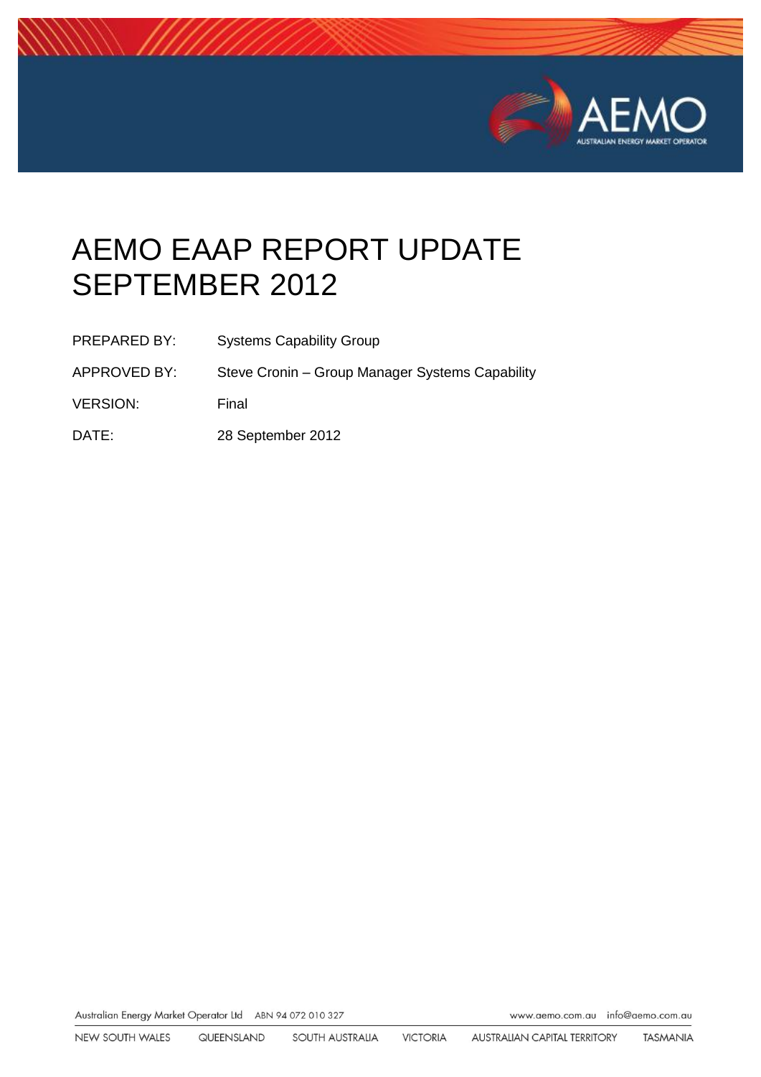

# AEMO EAAP REPORT UPDATE SEPTEMBER 2012

- PREPARED BY: Systems Capability Group
- APPROVED BY: Steve Cronin Group Manager Systems Capability
- VERSION: Final
- DATE: 28 September 2012

Australian Energy Market Operator Ltd ABN 94 072 010 327

www.aemo.com.au info@aemo.com.au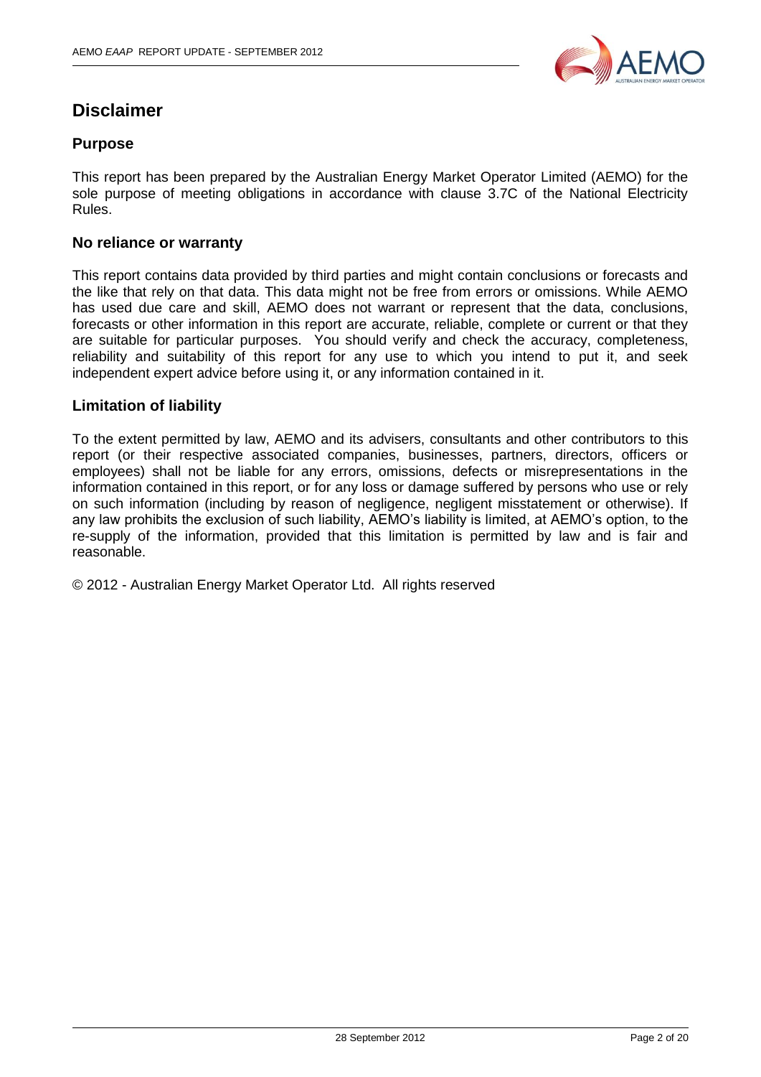

## **Disclaimer**

#### **Purpose**

This report has been prepared by the Australian Energy Market Operator Limited (AEMO) for the sole purpose of meeting obligations in accordance with clause 3.7C of the National Electricity Rules.

#### **No reliance or warranty**

This report contains data provided by third parties and might contain conclusions or forecasts and the like that rely on that data. This data might not be free from errors or omissions. While AEMO has used due care and skill, AEMO does not warrant or represent that the data, conclusions, forecasts or other information in this report are accurate, reliable, complete or current or that they are suitable for particular purposes. You should verify and check the accuracy, completeness, reliability and suitability of this report for any use to which you intend to put it, and seek independent expert advice before using it, or any information contained in it.

#### **Limitation of liability**

To the extent permitted by law, AEMO and its advisers, consultants and other contributors to this report (or their respective associated companies, businesses, partners, directors, officers or employees) shall not be liable for any errors, omissions, defects or misrepresentations in the information contained in this report, or for any loss or damage suffered by persons who use or rely on such information (including by reason of negligence, negligent misstatement or otherwise). If any law prohibits the exclusion of such liability, AEMO's liability is limited, at AEMO's option, to the re-supply of the information, provided that this limitation is permitted by law and is fair and reasonable.

© 2012 - Australian Energy Market Operator Ltd. All rights reserved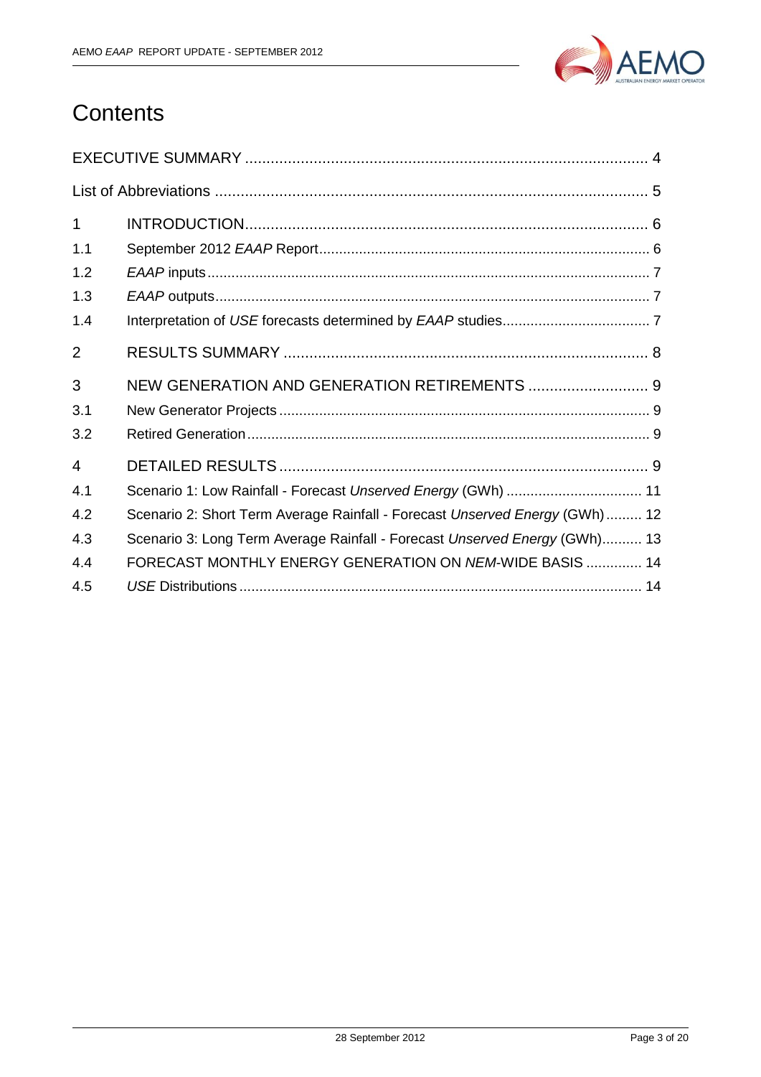

## **Contents**

| 1              |                                                                             |
|----------------|-----------------------------------------------------------------------------|
| 1.1            |                                                                             |
| 1.2            |                                                                             |
| 1.3            |                                                                             |
| 1.4            |                                                                             |
| $\overline{2}$ |                                                                             |
| 3              | NEW GENERATION AND GENERATION RETIREMENTS  9                                |
| 3.1            |                                                                             |
| 3.2            |                                                                             |
| $\overline{4}$ |                                                                             |
| 4.1            | Scenario 1: Low Rainfall - Forecast Unserved Energy (GWh)  11               |
| 4.2            | Scenario 2: Short Term Average Rainfall - Forecast Unserved Energy (GWh) 12 |
| 4.3            | Scenario 3: Long Term Average Rainfall - Forecast Unserved Energy (GWh) 13  |
| 4.4            | FORECAST MONTHLY ENERGY GENERATION ON NEM-WIDE BASIS  14                    |
| 4.5            |                                                                             |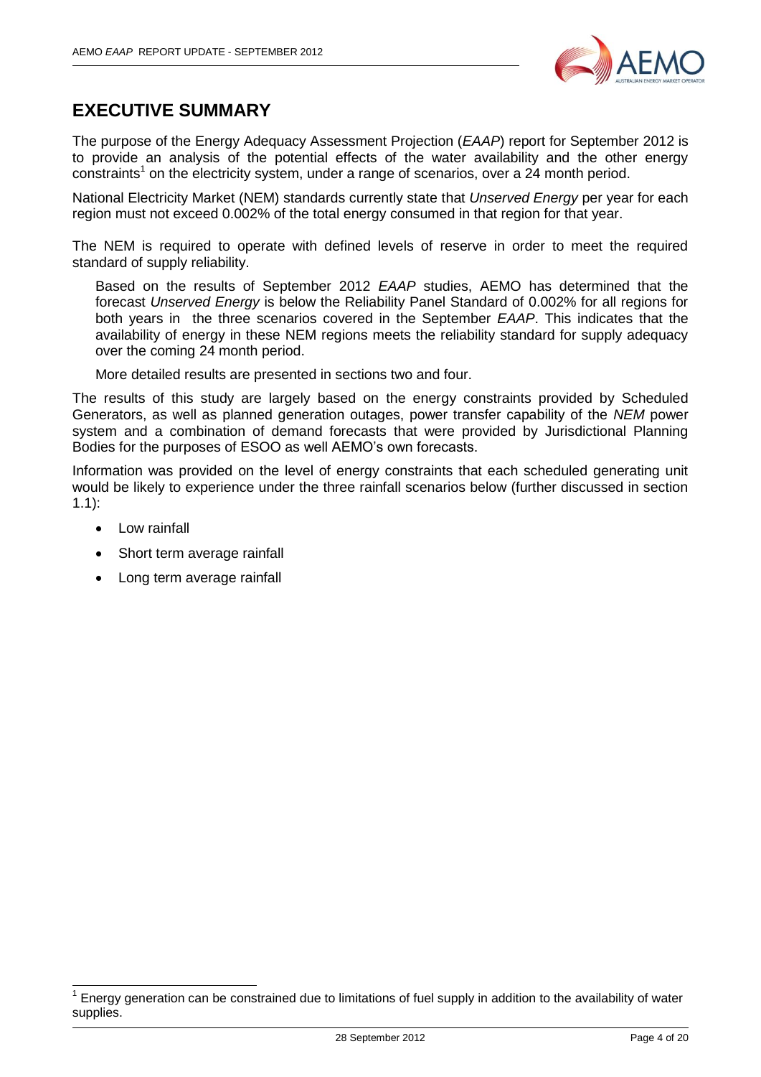

## <span id="page-3-0"></span>**EXECUTIVE SUMMARY**

The purpose of the Energy Adequacy Assessment Projection (*EAAP*) report for September 2012 is to provide an analysis of the potential effects of the water availability and the other energy constraints<sup>1</sup> on the electricity system, under a range of scenarios, over a 24 month period.

National Electricity Market (NEM) standards currently state that *Unserved Energy* per year for each region must not exceed 0.002% of the total energy consumed in that region for that year.

The NEM is required to operate with defined levels of reserve in order to meet the required standard of supply reliability.

Based on the results of September 2012 *EAAP* studies, AEMO has determined that the forecast *Unserved Energy* is below the Reliability Panel Standard of 0.002% for all regions for both years in the three scenarios covered in the September *EAAP*. This indicates that the availability of energy in these NEM regions meets the reliability standard for supply adequacy over the coming 24 month period.

More detailed results are presented in sections two and four.

The results of this study are largely based on the energy constraints provided by Scheduled Generators, as well as planned generation outages, power transfer capability of the *NEM* power system and a combination of demand forecasts that were provided by Jurisdictional Planning Bodies for the purposes of ESOO as well AEMO's own forecasts.

Information was provided on the level of energy constraints that each scheduled generating unit would be likely to experience under the three rainfall scenarios below (further discussed in section [1.1\)](#page-5-1):

• Low rainfall

 $\overline{\phantom{a}}$ 

- Short term average rainfall
- Long term average rainfall

<sup>1</sup> Energy generation can be constrained due to limitations of fuel supply in addition to the availability of water supplies.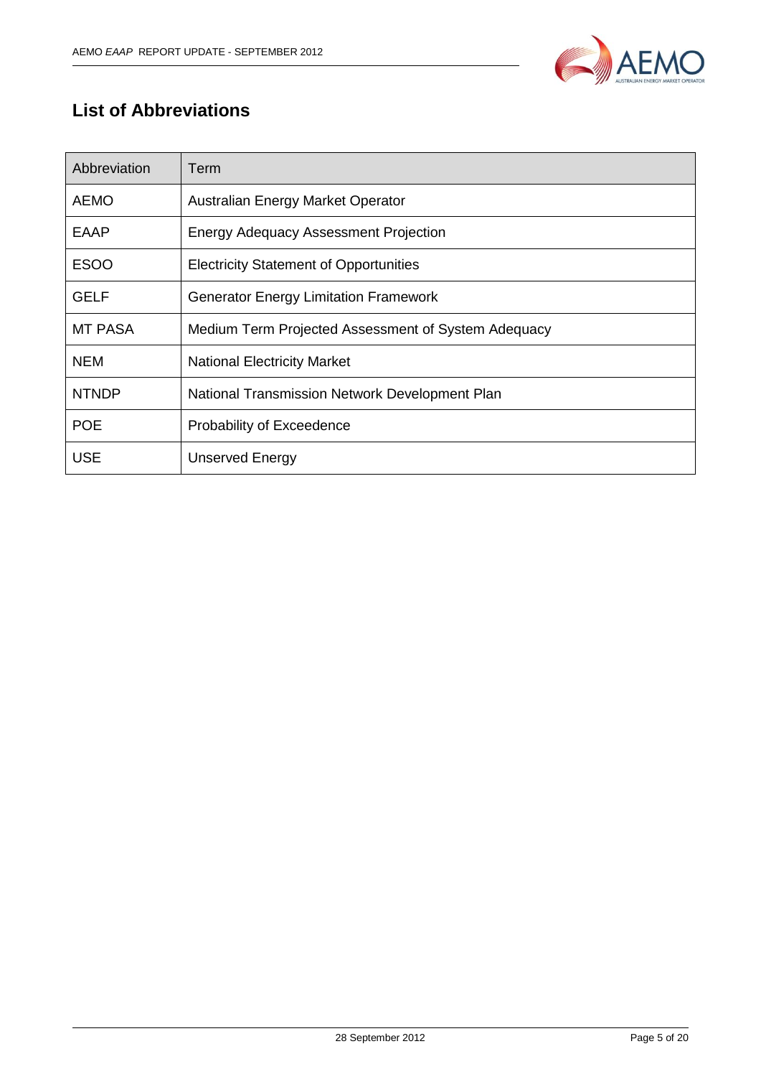

## <span id="page-4-0"></span>**List of Abbreviations**

| Abbreviation | Term                                                |
|--------------|-----------------------------------------------------|
| <b>AEMO</b>  | Australian Energy Market Operator                   |
| EAAP         | <b>Energy Adequacy Assessment Projection</b>        |
| <b>ESOO</b>  | <b>Electricity Statement of Opportunities</b>       |
| <b>GELF</b>  | <b>Generator Energy Limitation Framework</b>        |
| MT PASA      | Medium Term Projected Assessment of System Adequacy |
| <b>NEM</b>   | <b>National Electricity Market</b>                  |
| <b>NTNDP</b> | National Transmission Network Development Plan      |
| <b>POE</b>   | Probability of Exceedence                           |
| <b>USE</b>   | <b>Unserved Energy</b>                              |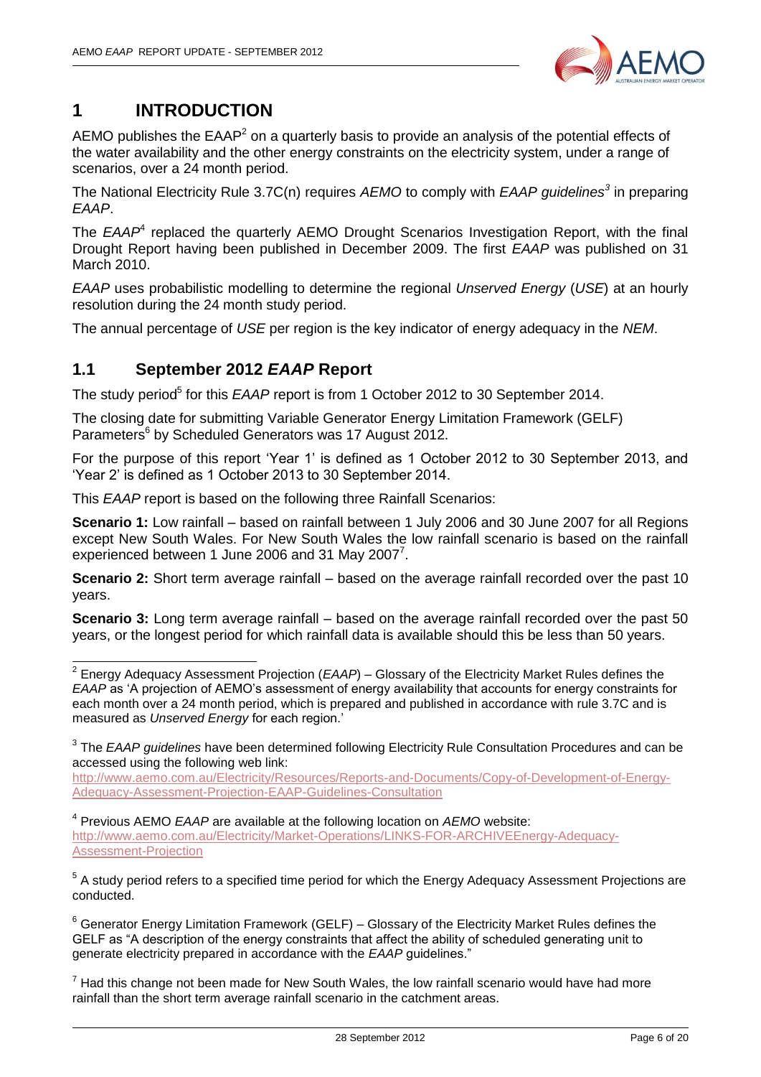

## <span id="page-5-0"></span>**1 INTRODUCTION**

AEMO publishes the  $EAAP<sup>2</sup>$  on a quarterly basis to provide an analysis of the potential effects of the water availability and the other energy constraints on the electricity system, under a range of scenarios, over a 24 month period.

The National Electricity Rule 3.7C(n) requires *AEMO* to comply with *EAAP guidelines<sup>3</sup>* in preparing *EAAP*.

The *EAAP*<sup>4</sup> replaced the quarterly AEMO Drought Scenarios Investigation Report, with the final Drought Report having been published in December 2009. The first *EAAP* was published on 31 March 2010.

*EAAP* uses probabilistic modelling to determine the regional *Unserved Energy* (*USE*) at an hourly resolution during the 24 month study period.

The annual percentage of *USE* per region is the key indicator of energy adequacy in the *NEM*.

#### <span id="page-5-1"></span>**1.1 September 2012** *EAAP* **Report**

The study period<sup>5</sup> for this *EAAP* report is from 1 October 2012 to 30 September 2014.

The closing date for submitting Variable Generator Energy Limitation Framework (GELF) Parameters<sup>6</sup> by Scheduled Generators was 17 August 2012.

For the purpose of this report 'Year 1' is defined as 1 October 2012 to 30 September 2013, and 'Year 2' is defined as 1 October 2013 to 30 September 2014.

This *EAAP* report is based on the following three Rainfall Scenarios:

**Scenario 1:** Low rainfall – based on rainfall between 1 July 2006 and 30 June 2007 for all Regions except New South Wales. For New South Wales the low rainfall scenario is based on the rainfall experienced between 1 June 2006 and 31 May 2007 $^7$ .

**Scenario 2:** Short term average rainfall – based on the average rainfall recorded over the past 10 years.

**Scenario 3:** Long term average rainfall – based on the average rainfall recorded over the past 50 years, or the longest period for which rainfall data is available should this be less than 50 years.

[http://www.aemo.com.au/Electricity/Resources/Reports-and-Documents/Copy-of-Development-of-Energy-](http://www.aemo.com.au/Electricity/Resources/Reports-and-Documents/Copy-of-Development-of-Energy-Adequacy-Assessment-Projection-EAAP-Guidelines-Consultation)[Adequacy-Assessment-Projection-EAAP-Guidelines-Consultation](http://www.aemo.com.au/Electricity/Resources/Reports-and-Documents/Copy-of-Development-of-Energy-Adequacy-Assessment-Projection-EAAP-Guidelines-Consultation)

4 Previous AEMO *EAAP* are available at the following location on *AEMO* website: [http://www.aemo.com.au/Electricity/Market-Operations/LINKS-FOR-ARCHIVEEnergy-Adequacy-](http://www.aemo.com.au/Electricity/Market-Operations/LINKS-FOR-ARCHIVEEnergy-Adequacy-Assessment-Projection)[Assessment-Projection](http://www.aemo.com.au/Electricity/Market-Operations/LINKS-FOR-ARCHIVEEnergy-Adequacy-Assessment-Projection)

<sup>5</sup> A study period refers to a specified time period for which the Energy Adequacy Assessment Projections are conducted.

 $6$  Generator Energy Limitation Framework (GELF) – Glossary of the Electricity Market Rules defines the GELF as "A description of the energy constraints that affect the ability of scheduled generating unit to generate electricity prepared in accordance with the *EAAP* guidelines."

 $7$  Had this change not been made for New South Wales, the low rainfall scenario would have had more rainfall than the short term average rainfall scenario in the catchment areas.

 2 Energy Adequacy Assessment Projection (*EAAP*) – Glossary of the Electricity Market Rules defines the *EAAP* as 'A projection of AEMO's assessment of energy availability that accounts for energy constraints for each month over a 24 month period, which is prepared and published in accordance with rule 3.7C and is measured as *Unserved Energy* for each region.'

<sup>3</sup> The *EAAP guidelines* have been determined following Electricity Rule Consultation Procedures and can be accessed using the following web link: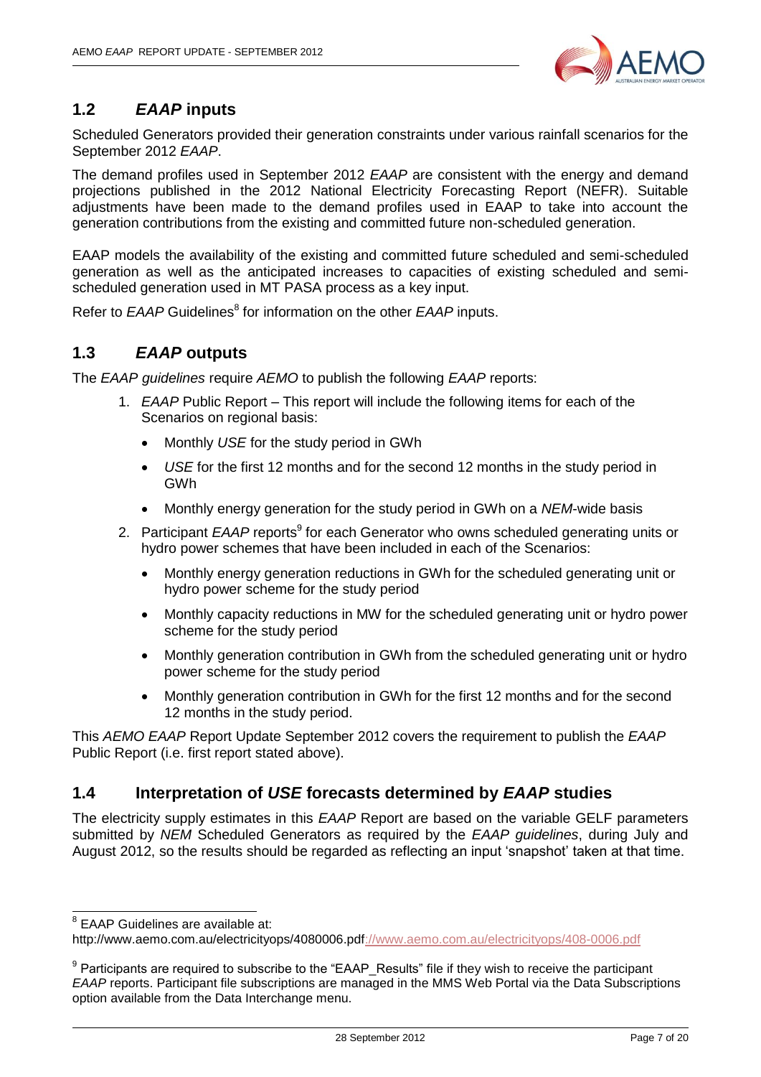

#### <span id="page-6-0"></span>**1.2** *EAAP* **inputs**

Scheduled Generators provided their generation constraints under various rainfall scenarios for the September 2012 *EAAP*.

The demand profiles used in September 2012 *EAAP* are consistent with the energy and demand projections published in the 2012 National Electricity Forecasting Report (NEFR). Suitable adjustments have been made to the demand profiles used in EAAP to take into account the generation contributions from the existing and committed future non-scheduled generation.

EAAP models the availability of the existing and committed future scheduled and semi-scheduled generation as well as the anticipated increases to capacities of existing scheduled and semischeduled generation used in MT PASA process as a key input.

Refer to *EAAP* Guidelines<sup>8</sup> for information on the other *EAAP* inputs.

#### <span id="page-6-1"></span>**1.3** *EAAP* **outputs**

The *EAAP guidelines* require *AEMO* to publish the following *EAAP* reports:

- 1. *EAAP* Public Report This report will include the following items for each of the Scenarios on regional basis:
	- Monthly *USE* for the study period in GWh
	- *USE* for the first 12 months and for the second 12 months in the study period in GWh
	- Monthly energy generation for the study period in GWh on a *NEM*-wide basis
- 2. Participant *EAAP* reports<sup>9</sup> for each Generator who owns scheduled generating units or hydro power schemes that have been included in each of the Scenarios:
	- Monthly energy generation reductions in GWh for the scheduled generating unit or hydro power scheme for the study period
	- Monthly capacity reductions in MW for the scheduled generating unit or hydro power scheme for the study period
	- Monthly generation contribution in GWh from the scheduled generating unit or hydro power scheme for the study period
	- Monthly generation contribution in GWh for the first 12 months and for the second 12 months in the study period.

This *AEMO EAAP* Report Update September 2012 covers the requirement to publish the *EAAP* Public Report (i.e. first report stated above).

#### <span id="page-6-2"></span>**1.4 Interpretation of** *USE* **forecasts determined by** *EAAP* **studies**

The electricity supply estimates in this *EAAP* Report are based on the variable GELF parameters submitted by *NEM* Scheduled Generators as required by the *EAAP guidelines*, during July and August 2012, so the results should be regarded as reflecting an input 'snapshot' taken at that time.

 8 EAAP Guidelines are available at:

[http://www.aemo.com.au/electricityops/4080006.pdf://www.aemo.com.au/electricityops/408-0006.pdf](http://www.aemo.com.au/electricityops/408-0006.pdf)

<sup>&</sup>lt;sup>9</sup> Participants are required to subscribe to the "EAAP\_Results" file if they wish to receive the participant *EAAP* reports. Participant file subscriptions are managed in the MMS Web Portal via the Data Subscriptions option available from the Data Interchange menu.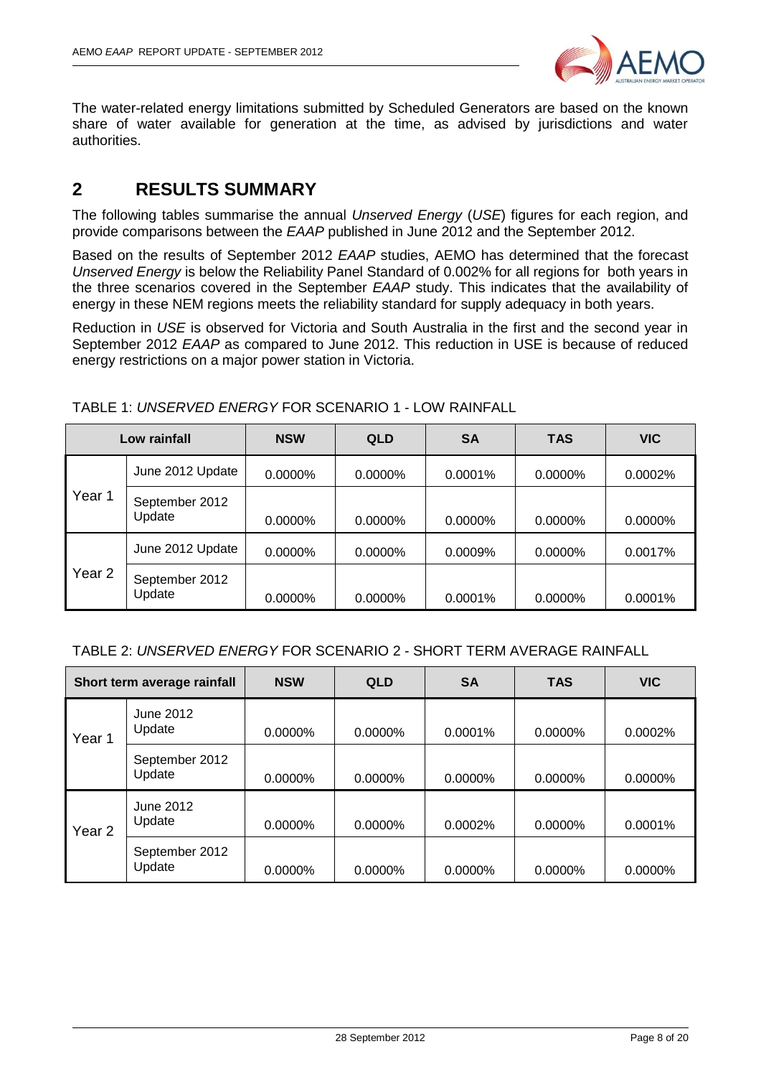

The water-related energy limitations submitted by Scheduled Generators are based on the known share of water available for generation at the time, as advised by jurisdictions and water authorities.

### <span id="page-7-0"></span>**2 RESULTS SUMMARY**

The following tables summarise the annual *Unserved Energy* (*USE*) figures for each region, and provide comparisons between the *EAAP* published in June 2012 and the September 2012.

Based on the results of September 2012 *EAAP* studies, AEMO has determined that the forecast *Unserved Energy* is below the Reliability Panel Standard of 0.002% for all regions for both years in the three scenarios covered in the September *EAAP* study. This indicates that the availability of energy in these NEM regions meets the reliability standard for supply adequacy in both years.

Reduction in *USE* is observed for Victoria and South Australia in the first and the second year in September 2012 *EAAP* as compared to June 2012. This reduction in USE is because of reduced energy restrictions on a major power station in Victoria.

| Low rainfall      |                          | <b>NSW</b> | <b>QLD</b> | <b>SA</b>  | <b>TAS</b> | <b>VIC</b> |
|-------------------|--------------------------|------------|------------|------------|------------|------------|
|                   | June 2012 Update         | $0.0000\%$ | 0.0000%    | $0.0001\%$ | $0.0000\%$ | $0.0002\%$ |
| Year 1            | September 2012<br>Update | $0.0000\%$ | $0.0000\%$ | $0.0000\%$ | $0.0000\%$ | $0.0000\%$ |
|                   | June 2012 Update         | 0.0000%    | $0.0000\%$ | 0.0009%    | $0.0000\%$ | 0.0017%    |
| Year <sub>2</sub> | September 2012<br>Update | 0.0000%    | $0.0000\%$ | $0.0001\%$ | $0.0000\%$ | $0.0001\%$ |

TABLE 1: *UNSERVED ENERGY* FOR SCENARIO 1 - LOW RAINFALL

#### TABLE 2: *UNSERVED ENERGY* FOR SCENARIO 2 - SHORT TERM AVERAGE RAINFALL

| Short term average rainfall |                          | <b>NSW</b> | <b>QLD</b> | <b>SA</b>  | <b>TAS</b> | <b>VIC</b> |
|-----------------------------|--------------------------|------------|------------|------------|------------|------------|
| Year 1                      | June 2012<br>Update      | 0.0000%    | $0.0000\%$ | $0.0001\%$ | $0.0000\%$ | 0.0002%    |
|                             | September 2012<br>Update | 0.0000%    | 0.0000%    | $0.0000\%$ | $0.0000\%$ | $0.0000\%$ |
| Year <sub>2</sub>           | June 2012<br>Update      | 0.0000%    | 0.0000%    | 0.0002%    | $0.0000\%$ | 0.0001%    |
|                             | September 2012<br>Update | $0.0000\%$ | 0.0000%    | $0.0000\%$ | $0.0000\%$ | $0.0000\%$ |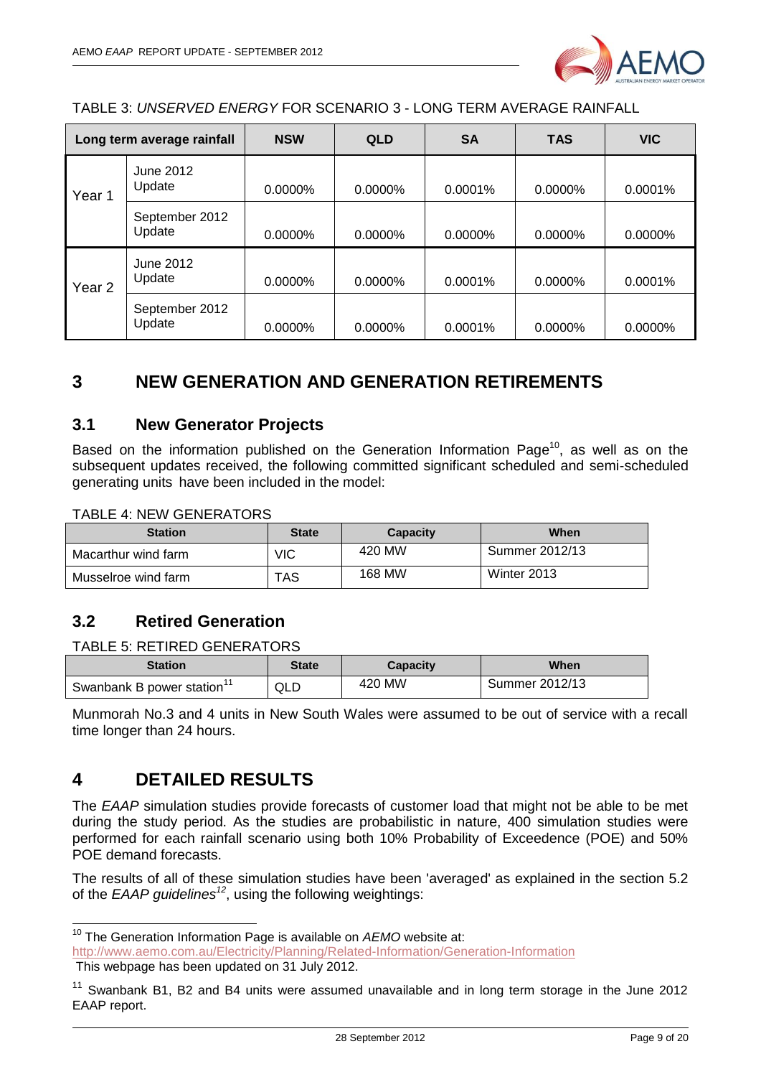

TABLE 3: *UNSERVED ENERGY* FOR SCENARIO 3 - LONG TERM AVERAGE RAINFALL

| Long term average rainfall    |                          | <b>NSW</b> | <b>QLD</b> | <b>SA</b>  | <b>TAS</b> | <b>VIC</b> |
|-------------------------------|--------------------------|------------|------------|------------|------------|------------|
| June 2012<br>Update<br>Year 1 |                          | 0.0000%    | $0.0000\%$ | $0.0001\%$ | $0.0000\%$ | $0.0001\%$ |
|                               | September 2012<br>Update | 0.0000%    | 0.0000%    | 0.0000%    | 0.0000%    | 0.0000%    |
| Year <sub>2</sub>             | June 2012<br>Update      | 0.0000%    | $0.0000\%$ | 0.0001%    | 0.0000%    | $0.0001\%$ |
|                               | September 2012<br>Update | $0.0000\%$ | $0.0000\%$ | 0.0001%    | $0.0000\%$ | $0.0000\%$ |

## <span id="page-8-0"></span>**3 NEW GENERATION AND GENERATION RETIREMENTS**

#### <span id="page-8-1"></span>**3.1 New Generator Projects**

Based on the information published on the Generation Information Page<sup>10</sup>, as well as on the subsequent updates received, the following committed significant scheduled and semi-scheduled generating units have been included in the model:

#### TABLE 4: NEW GENERATORS

| <b>Station</b>      | <b>State</b> | Capacity | When           |
|---------------------|--------------|----------|----------------|
| Macarthur wind farm | VIC          | 420 MW   | Summer 2012/13 |
| Musselroe wind farm | TAS          | 168 MW   | Winter 2013    |

#### <span id="page-8-2"></span>**3.2 Retired Generation**

#### TABLE 5: RETIRED GENERATORS

| <b>Station</b>            | State | <b>Capacity</b> | When           |
|---------------------------|-------|-----------------|----------------|
| Swanbank B power station" | QLD   | 420 MW          | Summer 2012/13 |

Munmorah No.3 and 4 units in New South Wales were assumed to be out of service with a recall time longer than 24 hours.

#### <span id="page-8-3"></span>**4 DETAILED RESULTS**

-

The *EAAP* simulation studies provide forecasts of customer load that might not be able to be met during the study period. As the studies are probabilistic in nature, 400 simulation studies were performed for each rainfall scenario using both 10% Probability of Exceedence (POE) and 50% POE demand forecasts.

The results of all of these simulation studies have been 'averaged' as explained in the section 5.2 of the *EAAP guidelines<sup>12</sup>*, using the following weightings:

<sup>&</sup>lt;sup>10</sup> The Generation Information Page is available on AEMO website at: <http://www.aemo.com.au/Electricity/Planning/Related-Information/Generation-Information>

This webpage has been updated on 31 July 2012.

<sup>&</sup>lt;sup>11</sup> Swanbank B1, B2 and B4 units were assumed unavailable and in long term storage in the June 2012 EAAP report.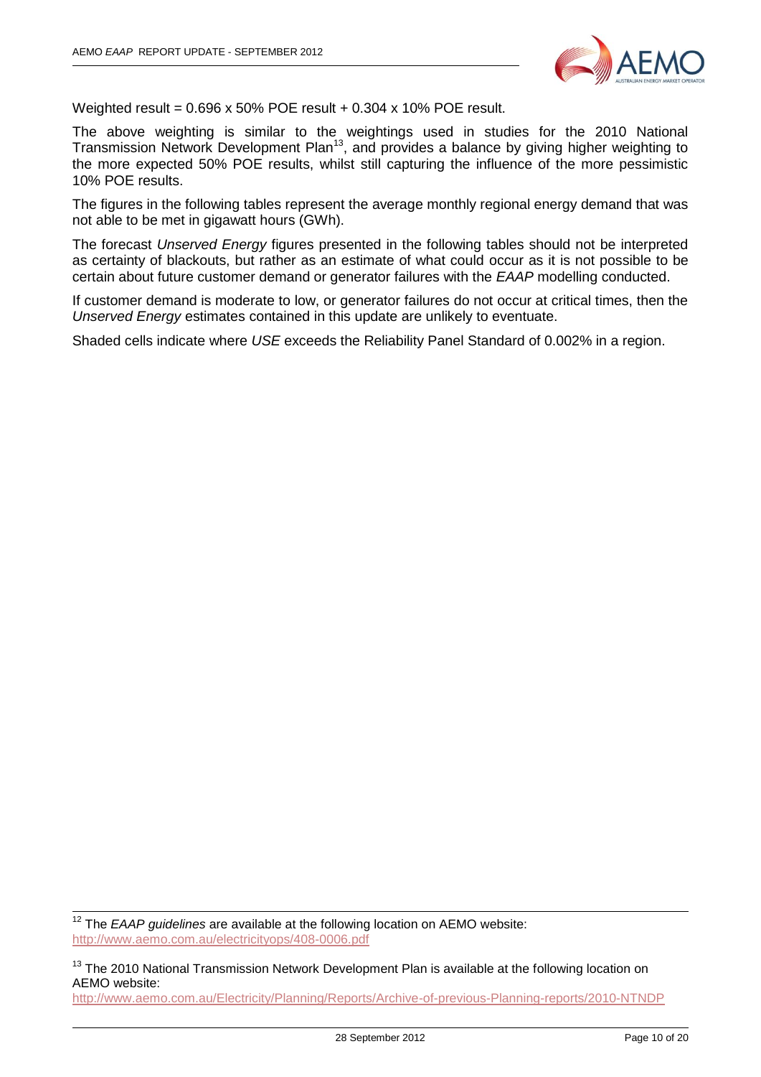

Weighted result = 0.696 x 50% POE result + 0.304 x 10% POE result.

The above weighting is similar to the weightings used in studies for the 2010 National Transmission Network Development Plan<sup>13</sup>, and provides a balance by giving higher weighting to the more expected 50% POE results, whilst still capturing the influence of the more pessimistic 10% POE results.

The figures in the following tables represent the average monthly regional energy demand that was not able to be met in gigawatt hours (GWh).

The forecast *Unserved Energy* figures presented in the following tables should not be interpreted as certainty of blackouts, but rather as an estimate of what could occur as it is not possible to be certain about future customer demand or generator failures with the *EAAP* modelling conducted.

If customer demand is moderate to low, or generator failures do not occur at critical times, then the *Unserved Energy* estimates contained in this update are unlikely to eventuate.

Shaded cells indicate where *USE* exceeds the Reliability Panel Standard of 0.002% in a region.

<sup>12</sup> The *EAAP guidelines* are available at the following location on AEMO website: <http://www.aemo.com.au/electricityops/408-0006.pdf>

-

<sup>13</sup> The 2010 National Transmission Network Development Plan is available at the following location on AEMO website: <http://www.aemo.com.au/Electricity/Planning/Reports/Archive-of-previous-Planning-reports/2010-NTNDP>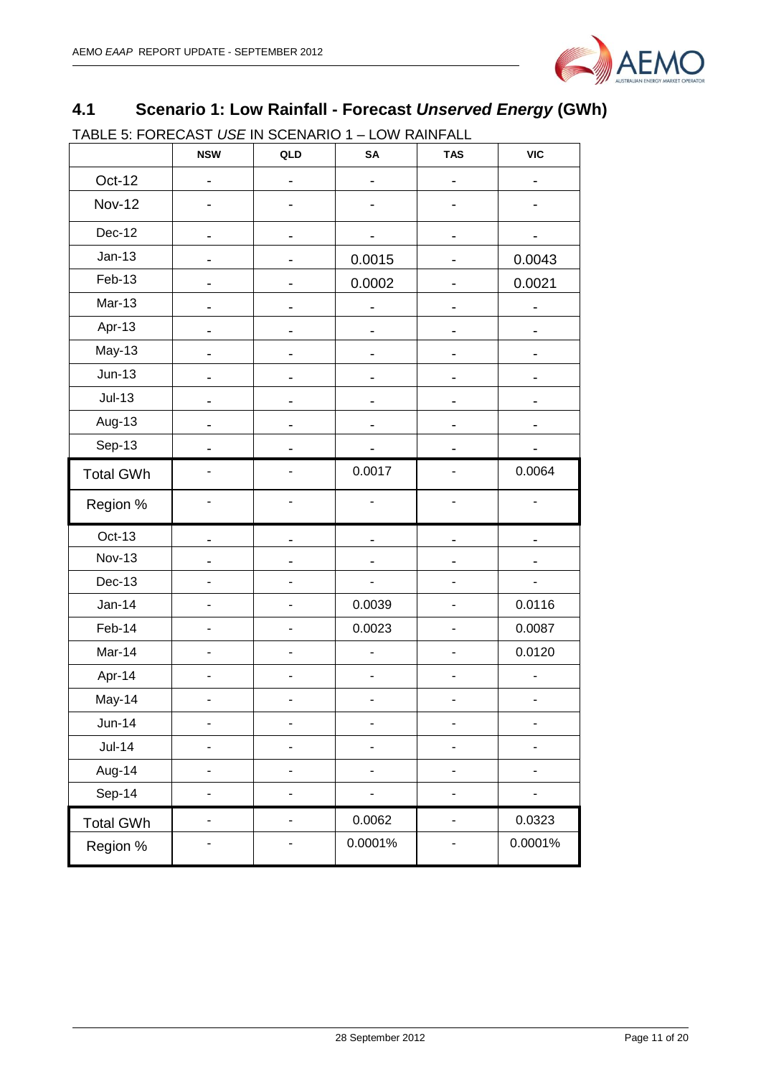

## <span id="page-10-0"></span>**4.1 Scenario 1: Low Rainfall - Forecast** *Unserved Energy* **(GWh)**

TABLE 5: FORECAST *USE* IN SCENARIO 1 – LOW RAINFALL

|                  | <b>NSW</b>               | QLD                      | SA                       | <b>TAS</b>                   | <b>VIC</b> |
|------------------|--------------------------|--------------------------|--------------------------|------------------------------|------------|
| Oct-12           |                          |                          |                          |                              |            |
| <b>Nov-12</b>    |                          |                          |                          |                              |            |
| <b>Dec-12</b>    |                          | -                        | -                        | -                            |            |
| $Jan-13$         |                          |                          | 0.0015                   |                              | 0.0043     |
| Feb-13           |                          |                          | 0.0002                   |                              | 0.0021     |
| $Mar-13$         |                          |                          |                          |                              |            |
| Apr-13           |                          |                          |                          |                              |            |
| May-13           |                          |                          |                          |                              |            |
| $Jun-13$         |                          |                          |                          |                              |            |
| $Jul-13$         |                          |                          |                          |                              |            |
| Aug-13           |                          |                          |                          |                              |            |
| Sep-13           |                          |                          |                          |                              |            |
| <b>Total GWh</b> |                          |                          | 0.0017                   |                              | 0.0064     |
| Region %         |                          |                          |                          |                              |            |
| Oct-13           |                          |                          |                          |                              |            |
| <b>Nov-13</b>    |                          |                          |                          |                              |            |
| $Dec-13$         |                          |                          |                          |                              |            |
| $Jan-14$         | $\blacksquare$           | $\overline{\phantom{a}}$ | 0.0039                   | $\qquad \qquad \blacksquare$ | 0.0116     |
| Feb-14           | $\blacksquare$           | ۰                        | 0.0023                   | $\overline{a}$               | 0.0087     |
| Mar-14           |                          | L,                       | $\overline{a}$           | ÷,                           | 0.0120     |
| Apr-14           |                          |                          |                          |                              |            |
| May-14           |                          |                          |                          |                              |            |
| <b>Jun-14</b>    | ٠                        |                          |                          |                              |            |
| $Jul-14$         |                          | -                        |                          |                              |            |
| Aug-14           |                          |                          |                          |                              |            |
| Sep-14           | $\overline{\phantom{0}}$ | -                        | $\overline{\phantom{0}}$ | -                            | -          |
| <b>Total GWh</b> | $\overline{\phantom{a}}$ | -                        | 0.0062                   | $\qquad \qquad \blacksquare$ | 0.0323     |
| Region %         |                          |                          | 0.0001%                  |                              | 0.0001%    |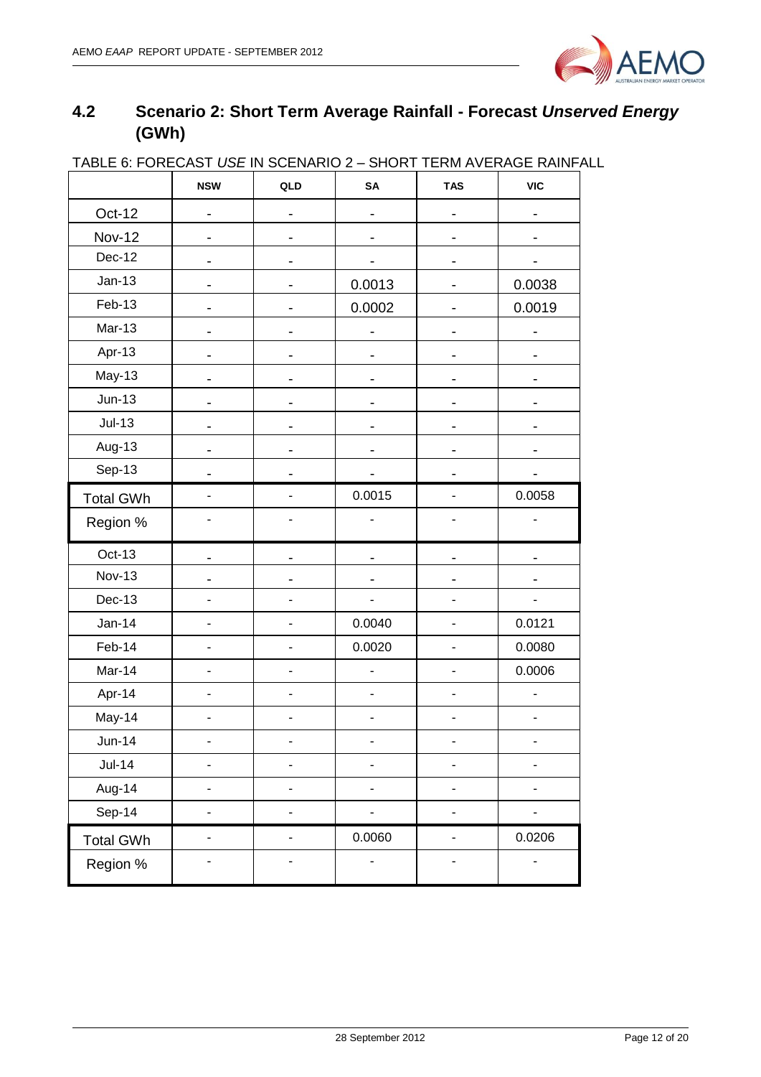

## <span id="page-11-0"></span>**4.2 Scenario 2: Short Term Average Rainfall - Forecast** *Unserved Energy* **(GWh)**

|                  | <b>NSW</b>                   | QLD                      | SA                           | <b>TAS</b>                   | <b>VIC</b> |
|------------------|------------------------------|--------------------------|------------------------------|------------------------------|------------|
| Oct-12           |                              |                          |                              |                              |            |
| <b>Nov-12</b>    |                              |                          |                              |                              |            |
| Dec-12           |                              |                          |                              |                              |            |
| $Jan-13$         |                              |                          | 0.0013                       |                              | 0.0038     |
| Feb-13           |                              |                          | 0.0002                       | -                            | 0.0019     |
| <b>Mar-13</b>    | -                            | -                        |                              |                              |            |
| Apr-13           | -                            |                          |                              |                              |            |
| May-13           |                              |                          |                              |                              |            |
| $Jun-13$         | -                            | -                        |                              |                              |            |
| $Jul-13$         |                              |                          |                              |                              |            |
| Aug-13           |                              |                          |                              |                              |            |
| Sep-13           |                              |                          |                              |                              |            |
| <b>Total GWh</b> |                              |                          | 0.0015                       |                              | 0.0058     |
| Region %         |                              |                          |                              |                              |            |
| Oct-13           |                              |                          |                              |                              |            |
| <b>Nov-13</b>    |                              |                          |                              |                              |            |
| Dec-13           |                              |                          | ÷,                           |                              |            |
| $Jan-14$         | ٠                            | $\overline{a}$           | 0.0040                       | -                            | 0.0121     |
| Feb-14           | $\qquad \qquad \blacksquare$ | ٠                        | 0.0020                       | -                            | 0.0080     |
| Mar-14           | $\overline{\phantom{0}}$     | $\overline{a}$           | ÷,                           | -                            | 0.0006     |
| Apr-14           | $\blacksquare$               | $\overline{a}$           | ä,                           | -                            |            |
| May-14           | $\blacksquare$               | ٠                        | $\qquad \qquad \blacksquare$ | -                            |            |
| <b>Jun-14</b>    |                              |                          |                              |                              |            |
| $Jul-14$         | ÷,                           |                          | $\blacksquare$               | -                            |            |
| Aug-14           |                              |                          |                              | -                            |            |
| Sep-14           |                              | -                        |                              | -                            |            |
| <b>Total GWh</b> | $\overline{\phantom{a}}$     | $\overline{\phantom{0}}$ | 0.0060                       | $\overline{\phantom{0}}$     | 0.0206     |
| Region %         |                              | -                        | $\overline{a}$               | $\qquad \qquad \blacksquare$ |            |

#### TABLE 6: FORECAST *USE* IN SCENARIO 2 – SHORT TERM AVERAGE RAINFALL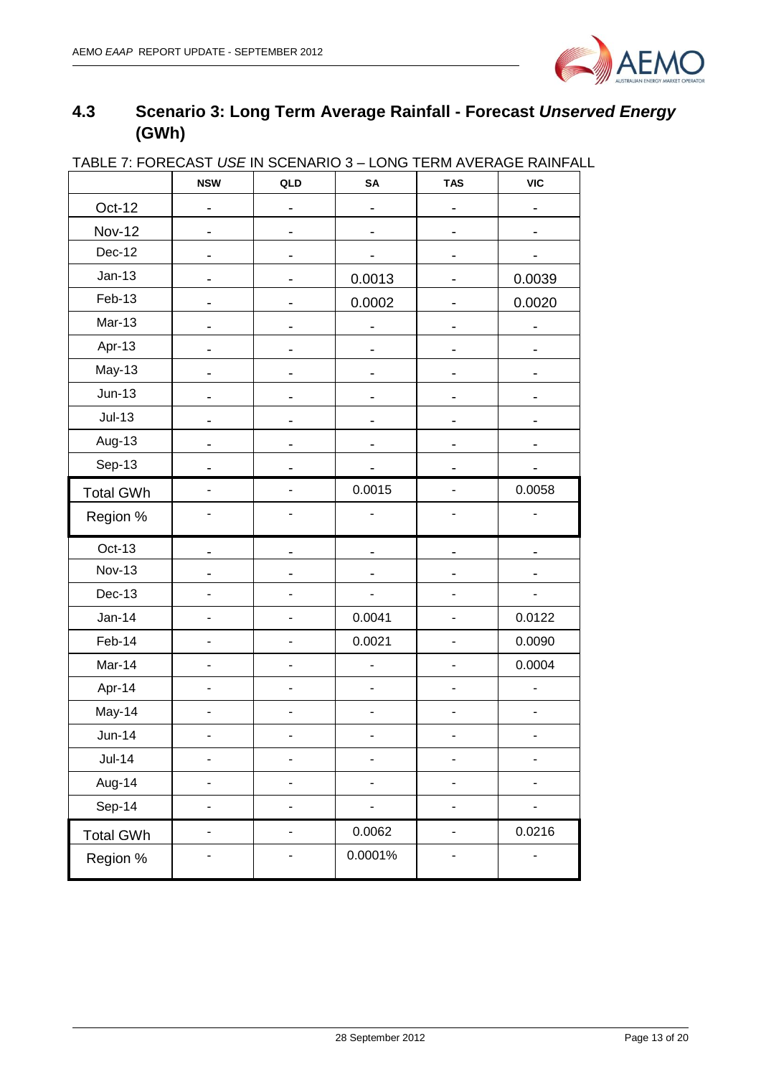

## <span id="page-12-0"></span>**4.3 Scenario 3: Long Term Average Rainfall - Forecast** *Unserved Energy* **(GWh)**

| <u> IABLE I. FUNEUAST USE IN SUENANIU 3 – LUNG TENIJI AVENAGE NAINFAL</u> | <b>NSW</b> | QLD                          | SA      | <b>TAS</b>                   | <b>VIC</b> |
|---------------------------------------------------------------------------|------------|------------------------------|---------|------------------------------|------------|
| Oct-12                                                                    |            |                              |         |                              |            |
| <b>Nov-12</b>                                                             |            |                              |         |                              |            |
| Dec-12                                                                    |            |                              |         |                              |            |
| $Jan-13$                                                                  |            |                              | 0.0013  |                              | 0.0039     |
| Feb-13                                                                    |            |                              | 0.0002  |                              | 0.0020     |
| $Mar-13$                                                                  |            |                              |         |                              |            |
| Apr-13                                                                    |            |                              |         |                              |            |
| May-13                                                                    |            |                              |         |                              |            |
| $Jun-13$                                                                  |            | -                            | -       |                              |            |
| $Jul-13$                                                                  |            |                              |         |                              |            |
| Aug-13                                                                    |            |                              |         |                              |            |
| Sep-13                                                                    |            |                              |         |                              |            |
| <b>Total GWh</b>                                                          |            |                              | 0.0015  |                              | 0.0058     |
| Region %                                                                  |            |                              |         |                              |            |
| Oct-13                                                                    |            |                              |         |                              |            |
| <b>Nov-13</b>                                                             |            |                              |         |                              |            |
| $Dec-13$                                                                  |            |                              |         |                              |            |
| $Jan-14$                                                                  |            |                              | 0.0041  |                              | 0.0122     |
| Feb-14                                                                    |            |                              | 0.0021  | $\qquad \qquad \blacksquare$ | 0.0090     |
| Mar-14                                                                    |            |                              |         |                              | 0.0004     |
| Apr-14                                                                    | ٠          | ٠                            |         | $\overline{\phantom{a}}$     |            |
| May-14                                                                    |            |                              |         |                              |            |
| $Jun-14$                                                                  |            |                              |         |                              |            |
| <b>Jul-14</b>                                                             |            | $\qquad \qquad \blacksquare$ |         | $\qquad \qquad \blacksquare$ | -          |
| Aug-14                                                                    | -          | ٠                            | -       | -                            |            |
| Sep-14                                                                    |            |                              |         | -                            |            |
| <b>Total GWh</b>                                                          | ٠          | ٠                            | 0.0062  | $\overline{\phantom{0}}$     | 0.0216     |
| Region %                                                                  |            | -                            | 0.0001% |                              |            |

#### TABLE 7: FORECAST *USE* IN SCENARIO 3 – LONG TERM AVERAGE RAINFALL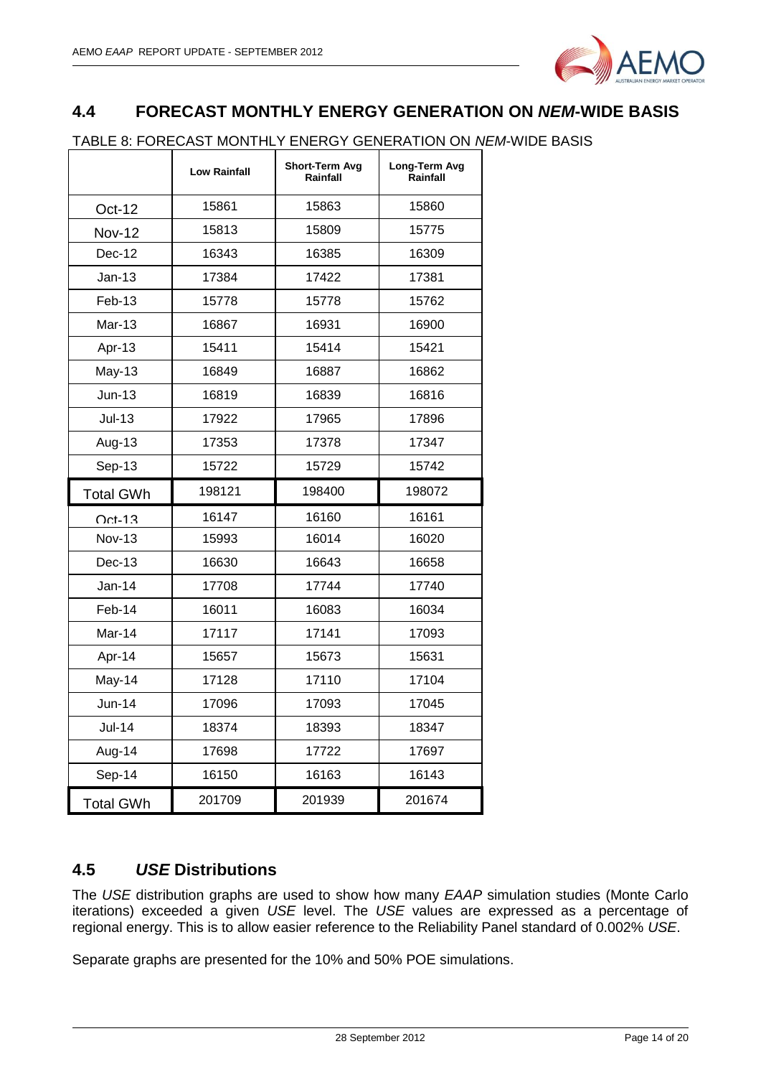

#### <span id="page-13-0"></span>**4.4 FORECAST MONTHLY ENERGY GENERATION ON** *NEM***-WIDE BASIS**

TABLE 8: FORECAST MONTHLY ENERGY GENERATION ON *NEM*-WIDE BASIS

|                  | <b>Low Rainfall</b> | Short-Term Avg<br>Rainfall | Long-Term Avg<br>Rainfall |
|------------------|---------------------|----------------------------|---------------------------|
| <b>Oct-12</b>    | 15861               | 15863                      | 15860                     |
| <b>Nov-12</b>    | 15813               | 15809                      | 15775                     |
| Dec-12           | 16343               | 16385                      | 16309                     |
| Jan-13           | 17384               | 17422                      | 17381                     |
| Feb-13           | 15778               | 15778                      | 15762                     |
| <b>Mar-13</b>    | 16867               | 16931                      | 16900                     |
| Apr-13           | 15411               | 15414                      | 15421                     |
| <b>May-13</b>    | 16849               | 16887                      | 16862                     |
| $Jun-13$         | 16819               | 16839                      | 16816                     |
| $Jul-13$         | 17922               | 17965                      | 17896                     |
| Aug-13           | 17353               | 17378                      | 17347                     |
| Sep-13           | 15722               | 15729                      | 15742                     |
| <b>Total GWh</b> | 198121              | 198400                     | 198072                    |
| $Oct-13$         | 16147               | 16160                      | 16161                     |
| <b>Nov-13</b>    | 15993               | 16014                      | 16020                     |
| $Dec-13$         | 16630               | 16643                      | 16658                     |
| $Jan-14$         | 17708               | 17744                      | 17740                     |
| Feb-14           |                     |                            |                           |
|                  | 16011               | 16083                      | 16034                     |
| Mar-14           | 17117               | 17141                      | 17093                     |
| Apr-14           | 15657               | 15673                      | 15631                     |
| May-14           | 17128               | 17110                      | 17104                     |
| $Jun-14$         | 17096               | 17093                      | 17045                     |
| <b>Jul-14</b>    | 18374               | 18393                      | 18347                     |
| Aug-14           | 17698               | 17722                      | 17697                     |
| Sep-14           | 16150               | 16163                      | 16143                     |

#### <span id="page-13-1"></span>**4.5** *USE* **Distributions**

The *USE* distribution graphs are used to show how many *EAAP* simulation studies (Monte Carlo iterations) exceeded a given *USE* level. The *USE* values are expressed as a percentage of regional energy. This is to allow easier reference to the Reliability Panel standard of 0.002% *USE*.

Separate graphs are presented for the 10% and 50% POE simulations.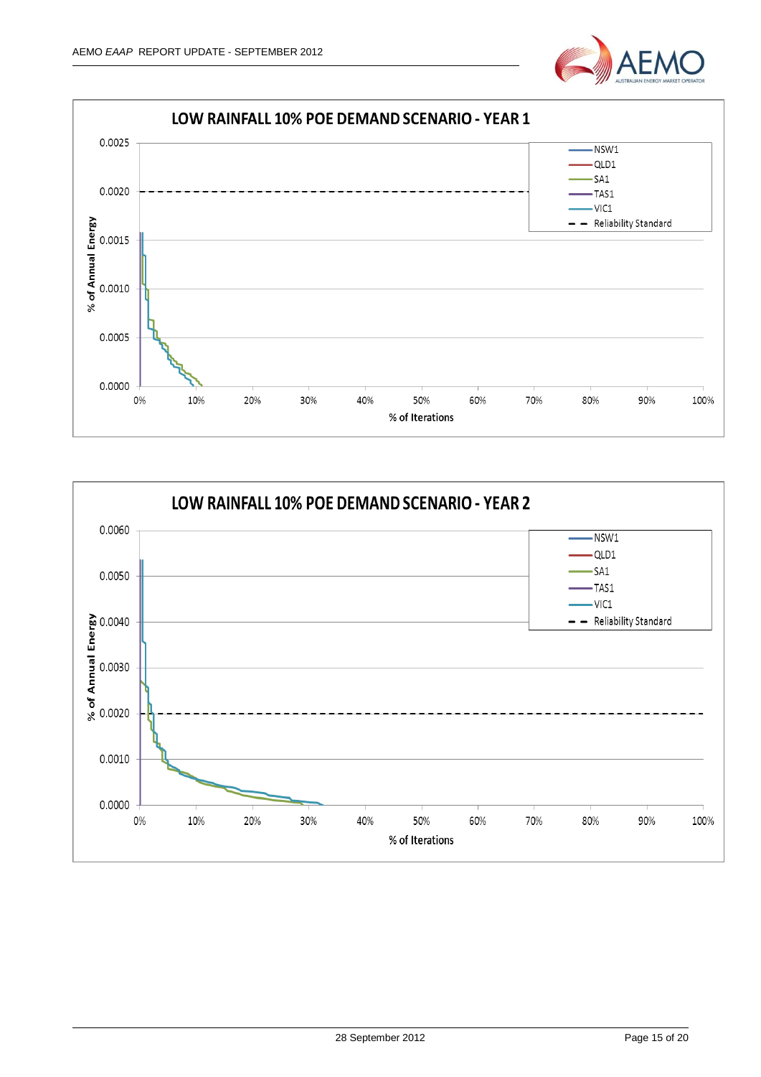



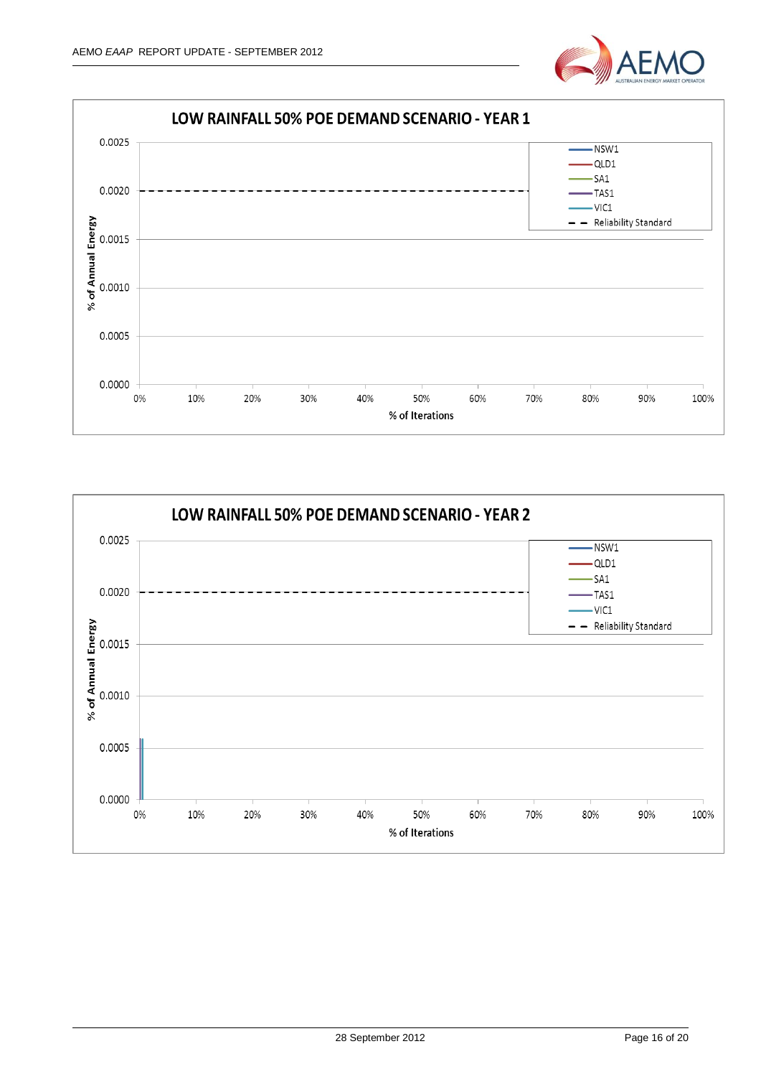



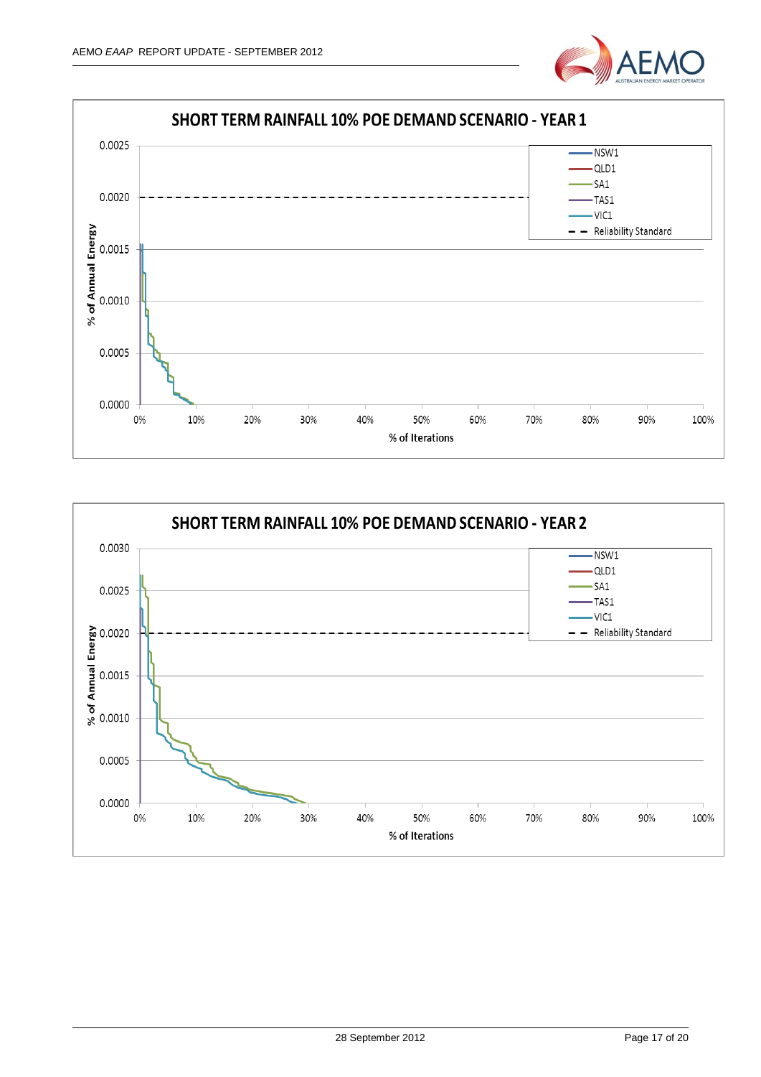



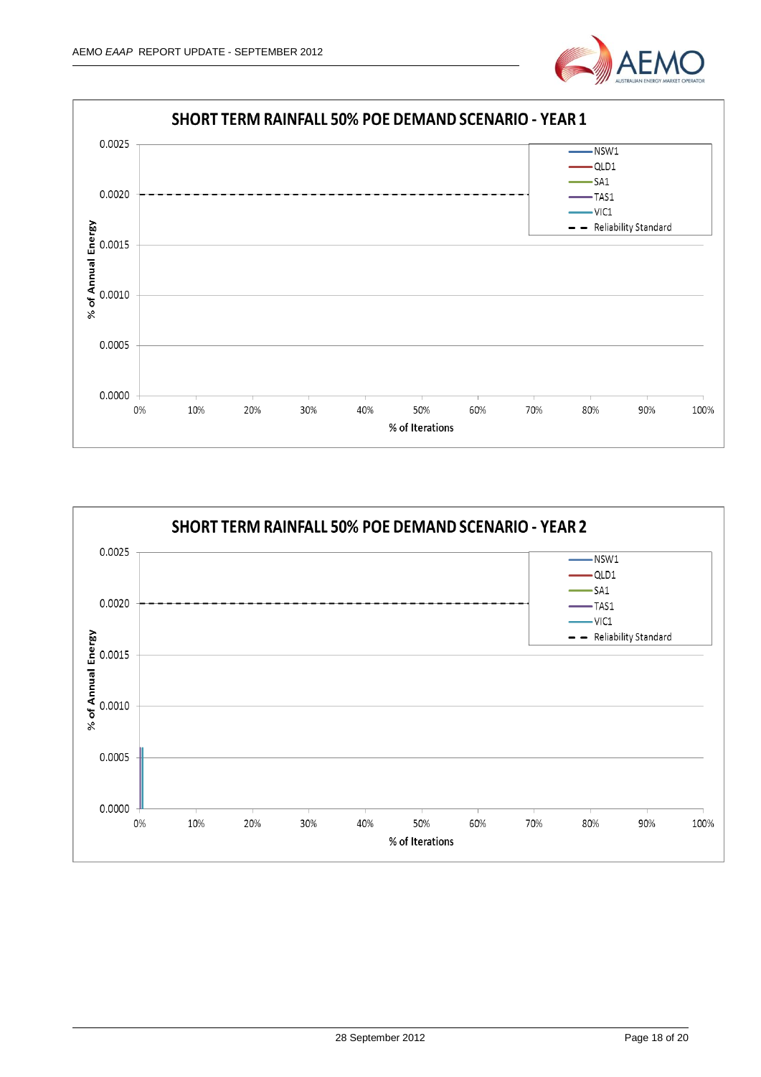



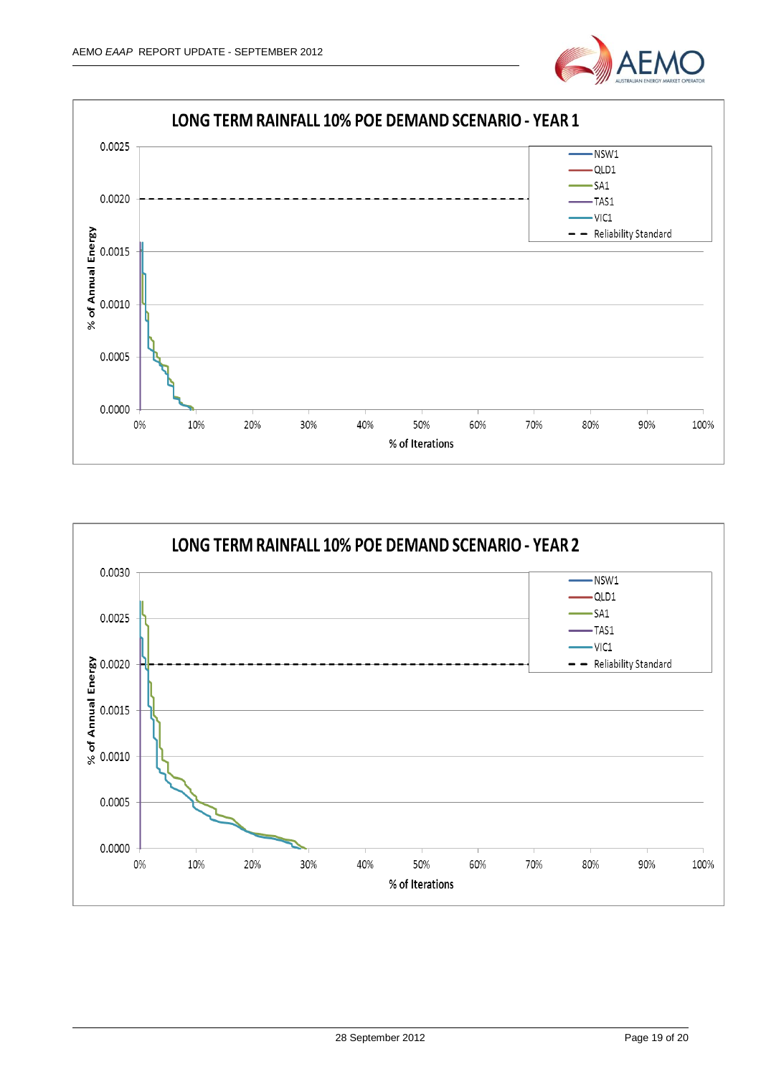